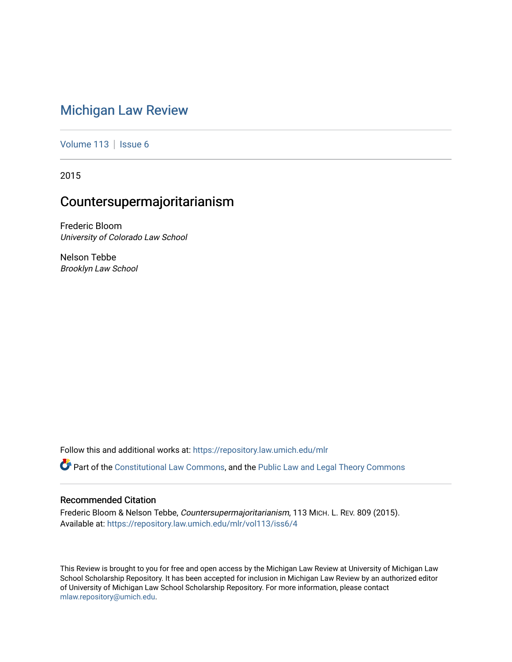# [Michigan Law Review](https://repository.law.umich.edu/mlr)

[Volume 113](https://repository.law.umich.edu/mlr/vol113) | [Issue 6](https://repository.law.umich.edu/mlr/vol113/iss6)

2015

# Countersupermajoritarianism

Frederic Bloom University of Colorado Law School

Nelson Tebbe Brooklyn Law School

Follow this and additional works at: [https://repository.law.umich.edu/mlr](https://repository.law.umich.edu/mlr?utm_source=repository.law.umich.edu%2Fmlr%2Fvol113%2Fiss6%2F4&utm_medium=PDF&utm_campaign=PDFCoverPages) 

Part of the [Constitutional Law Commons,](http://network.bepress.com/hgg/discipline/589?utm_source=repository.law.umich.edu%2Fmlr%2Fvol113%2Fiss6%2F4&utm_medium=PDF&utm_campaign=PDFCoverPages) and the [Public Law and Legal Theory Commons](http://network.bepress.com/hgg/discipline/871?utm_source=repository.law.umich.edu%2Fmlr%2Fvol113%2Fiss6%2F4&utm_medium=PDF&utm_campaign=PDFCoverPages) 

# Recommended Citation

Frederic Bloom & Nelson Tebbe, Countersupermajoritarianism, 113 MICH. L. REV. 809 (2015). Available at: [https://repository.law.umich.edu/mlr/vol113/iss6/4](https://repository.law.umich.edu/mlr/vol113/iss6/4?utm_source=repository.law.umich.edu%2Fmlr%2Fvol113%2Fiss6%2F4&utm_medium=PDF&utm_campaign=PDFCoverPages) 

This Review is brought to you for free and open access by the Michigan Law Review at University of Michigan Law School Scholarship Repository. It has been accepted for inclusion in Michigan Law Review by an authorized editor of University of Michigan Law School Scholarship Repository. For more information, please contact [mlaw.repository@umich.edu.](mailto:mlaw.repository@umich.edu)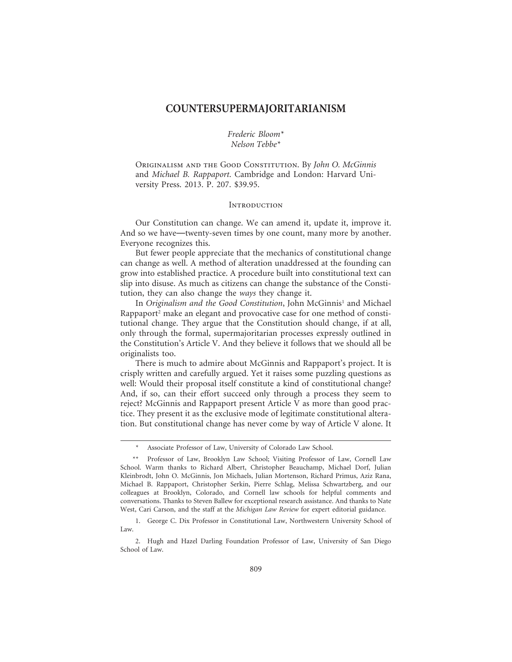# **COUNTERSUPERMAJORITARIANISM**

*Frederic Bloom\* Nelson Tebbe\**

Originalism and the Good Constitution. By *John O. McGinnis* and *Michael B. Rappaport*. Cambridge and London: Harvard University Press. 2013. P. 207. \$39.95.

#### **INTRODUCTION**

Our Constitution can change. We can amend it, update it, improve it. And so we have—twenty-seven times by one count, many more by another. Everyone recognizes this.

But fewer people appreciate that the mechanics of constitutional change can change as well. A method of alteration unaddressed at the founding can grow into established practice. A procedure built into constitutional text can slip into disuse. As much as citizens can change the substance of the Constitution, they can also change the *ways* they change it.

In *Originalism and the Good Constitution*, John McGinnis<sup>1</sup> and Michael Rappaport<sup>2</sup> make an elegant and provocative case for one method of constitutional change. They argue that the Constitution should change, if at all, only through the formal, supermajoritarian processes expressly outlined in the Constitution's Article V. And they believe it follows that we should all be originalists too.

There is much to admire about McGinnis and Rappaport's project. It is crisply written and carefully argued. Yet it raises some puzzling questions as well: Would their proposal itself constitute a kind of constitutional change? And, if so, can their effort succeed only through a process they seem to reject? McGinnis and Rappaport present Article V as more than good practice. They present it as the exclusive mode of legitimate constitutional alteration. But constitutional change has never come by way of Article V alone. It

Associate Professor of Law, University of Colorado Law School.

<sup>\*\*</sup> Professor of Law, Brooklyn Law School; Visiting Professor of Law, Cornell Law School. Warm thanks to Richard Albert, Christopher Beauchamp, Michael Dorf, Julian Kleinbrodt, John O. McGinnis, Jon Michaels, Julian Mortenson, Richard Primus, Aziz Rana, Michael B. Rappaport, Christopher Serkin, Pierre Schlag, Melissa Schwartzberg, and our colleagues at Brooklyn, Colorado, and Cornell law schools for helpful comments and conversations. Thanks to Steven Ballew for exceptional research assistance. And thanks to Nate West, Cari Carson, and the staff at the *Michigan Law Review* for expert editorial guidance.

<sup>1.</sup> George C. Dix Professor in Constitutional Law, Northwestern University School of Law.

<sup>2.</sup> Hugh and Hazel Darling Foundation Professor of Law, University of San Diego School of Law.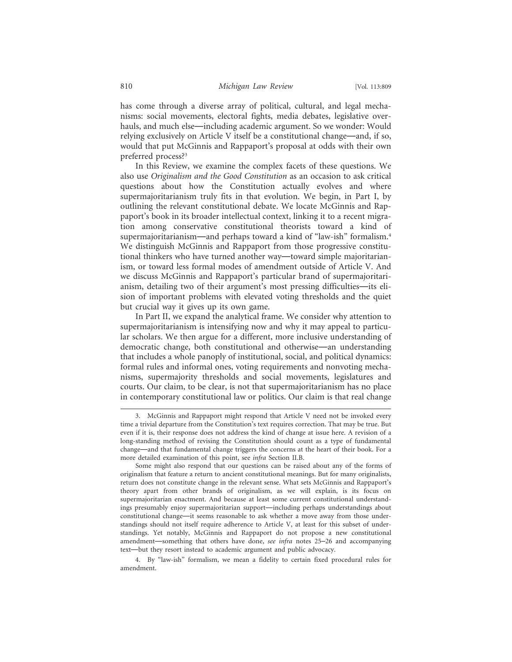has come through a diverse array of political, cultural, and legal mechanisms: social movements, electoral fights, media debates, legislative overhauls, and much else—including academic argument. So we wonder: Would relying exclusively on Article V itself be a constitutional change—and, if so, would that put McGinnis and Rappaport's proposal at odds with their own preferred process?3

In this Review, we examine the complex facets of these questions. We also use *Originalism and the Good Constitution* as an occasion to ask critical questions about how the Constitution actually evolves and where supermajoritarianism truly fits in that evolution. We begin, in Part I, by outlining the relevant constitutional debate. We locate McGinnis and Rappaport's book in its broader intellectual context, linking it to a recent migration among conservative constitutional theorists toward a kind of supermajoritarianism—and perhaps toward a kind of "law-ish" formalism.4 We distinguish McGinnis and Rappaport from those progressive constitutional thinkers who have turned another way—toward simple majoritarianism, or toward less formal modes of amendment outside of Article V. And we discuss McGinnis and Rappaport's particular brand of supermajoritarianism, detailing two of their argument's most pressing difficulties—its elision of important problems with elevated voting thresholds and the quiet but crucial way it gives up its own game.

In Part II, we expand the analytical frame. We consider why attention to supermajoritarianism is intensifying now and why it may appeal to particular scholars. We then argue for a different, more inclusive understanding of democratic change, both constitutional and otherwise—an understanding that includes a whole panoply of institutional, social, and political dynamics: formal rules and informal ones, voting requirements and nonvoting mechanisms, supermajority thresholds and social movements, legislatures and courts. Our claim, to be clear, is not that supermajoritarianism has no place in contemporary constitutional law or politics. Our claim is that real change

<sup>3.</sup> McGinnis and Rappaport might respond that Article V need not be invoked every time a trivial departure from the Constitution's text requires correction. That may be true. But even if it is, their response does not address the kind of change at issue here. A revision of a long-standing method of revising the Constitution should count as a type of fundamental change—and that fundamental change triggers the concerns at the heart of their book. For a more detailed examination of this point, see *infra* Section II.B.

Some might also respond that our questions can be raised about any of the forms of originalism that feature a return to ancient constitutional meanings. But for many originalists, return does not constitute change in the relevant sense. What sets McGinnis and Rappaport's theory apart from other brands of originalism, as we will explain, is its focus on supermajoritarian enactment. And because at least some current constitutional understandings presumably enjoy supermajoritarian support—including perhaps understandings about constitutional change—it seems reasonable to ask whether a move away from those understandings should not itself require adherence to Article V, at least for this subset of understandings. Yet notably, McGinnis and Rappaport do not propose a new constitutional amendment—something that others have done, *see infra* notes 25–26 and accompanying text—but they resort instead to academic argument and public advocacy.

<sup>4.</sup> By "law-ish" formalism, we mean a fidelity to certain fixed procedural rules for amendment.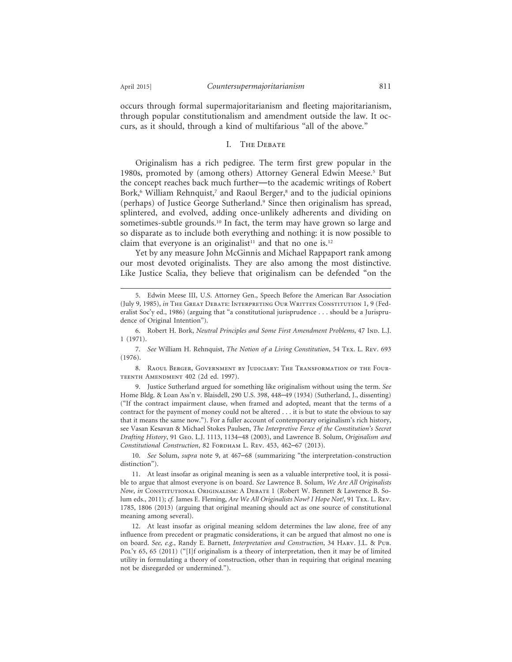occurs through formal supermajoritarianism and fleeting majoritarianism, through popular constitutionalism and amendment outside the law. It occurs, as it should, through a kind of multifarious "all of the above."

### I. The Debate

Originalism has a rich pedigree. The term first grew popular in the 1980s, promoted by (among others) Attorney General Edwin Meese.<sup>5</sup> But the concept reaches back much further—to the academic writings of Robert Bork,<sup>6</sup> William Rehnquist,<sup>7</sup> and Raoul Berger,<sup>8</sup> and to the judicial opinions (perhaps) of Justice George Sutherland.<sup>9</sup> Since then originalism has spread, splintered, and evolved, adding once-unlikely adherents and dividing on sometimes-subtle grounds.10 In fact, the term may have grown so large and so disparate as to include both everything and nothing: it is now possible to claim that everyone is an originalist<sup>11</sup> and that no one is.<sup>12</sup>

Yet by any measure John McGinnis and Michael Rappaport rank among our most devoted originalists. They are also among the most distinctive. Like Justice Scalia, they believe that originalism can be defended "on the

<sup>5.</sup> Edwin Meese III, U.S. Attorney Gen., Speech Before the American Bar Association (July 9, 1985), *in* The Great Debate: Interpreting Our Written Constitution 1, 9 (Federalist Soc'y ed., 1986) (arguing that "a constitutional jurisprudence . . . should be a Jurisprudence of Original Intention").

<sup>6.</sup> Robert H. Bork, *Neutral Principles and Some First Amendment Problems*, 47 Ind. L.J. 1 (1971).

<sup>7.</sup> *See* William H. Rehnquist, *The Notion of a Living Constitution*, 54 Tex. L. Rev. 693 (1976).

<sup>8.</sup> Raoul Berger, Government by Judiciary: The Transformation of the Four-TEENTH AMENDMENT 402 (2d ed. 1997).

<sup>9.</sup> Justice Sutherland argued for something like originalism without using the term. *See* Home Bldg. & Loan Ass'n v. Blaisdell, 290 U.S. 398, 448–49 (1934) (Sutherland, J., dissenting) ("If the contract impairment clause, when framed and adopted, meant that the terms of a contract for the payment of money could not be altered . . . it is but to state the obvious to say that it means the same now."). For a fuller account of contemporary originalism's rich history, see Vasan Kesavan & Michael Stokes Paulsen, *The Interpretive Force of the Constitution's Secret Drafting History*, 91 Geo. L.J. 1113, 1134–48 (2003), and Lawrence B. Solum, *Originalism and* Constitutional Construction, 82 FORDHAM L. REV. 453, 462-67 (2013).

<sup>10.</sup> *See* Solum, *supra* note 9, at 467–68 (summarizing "the interpretation-construction distinction").

<sup>11.</sup> At least insofar as original meaning is seen as a valuable interpretive tool, it is possible to argue that almost everyone is on board. *See* Lawrence B. Solum, *We Are All Originalists Now*, *in* Constitutional Originalism: A Debate 1 (Robert W. Bennett & Lawrence B. Solum eds., 2011); *cf.* James E. Fleming, *Are We All Originalists Now? I Hope Not!*, 91 Tex. L. Rev. 1785, 1806 (2013) (arguing that original meaning should act as one source of constitutional meaning among several).

<sup>12.</sup> At least insofar as original meaning seldom determines the law alone, free of any influence from precedent or pragmatic considerations, it can be argued that almost no one is on board. *See, e.g.*, Randy E. Barnett, *Interpretation and Construction*, 34 Harv. J.L. & Pub. Pol'x 65, 65 (2011) ("[I]f originalism is a theory of interpretation, then it may be of limited utility in formulating a theory of construction, other than in requiring that original meaning not be disregarded or undermined.").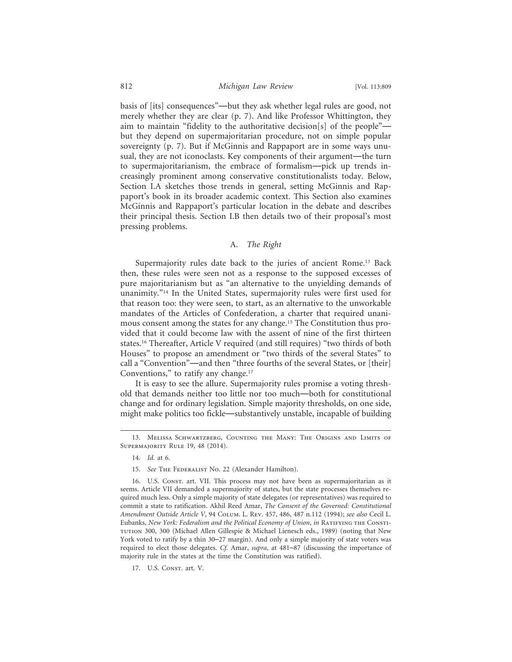basis of [its] consequences"—but they ask whether legal rules are good, not merely whether they are clear (p. 7). And like Professor Whittington, they aim to maintain "fidelity to the authoritative decision[s] of the people" but they depend on supermajoritarian procedure, not on simple popular sovereignty (p. 7). But if McGinnis and Rappaport are in some ways unusual, they are not iconoclasts. Key components of their argument—the turn to supermajoritarianism, the embrace of formalism—pick up trends increasingly prominent among conservative constitutionalists today. Below, Section I.A sketches those trends in general, setting McGinnis and Rappaport's book in its broader academic context. This Section also examines McGinnis and Rappaport's particular location in the debate and describes their principal thesis. Section I.B then details two of their proposal's most pressing problems.

#### A. *The Right*

Supermajority rules date back to the juries of ancient Rome.<sup>13</sup> Back then, these rules were seen not as a response to the supposed excesses of pure majoritarianism but as "an alternative to the unyielding demands of unanimity."14 In the United States, supermajority rules were first used for that reason too: they were seen, to start, as an alternative to the unworkable mandates of the Articles of Confederation, a charter that required unanimous consent among the states for any change.15 The Constitution thus provided that it could become law with the assent of nine of the first thirteen states.16 Thereafter, Article V required (and still requires) "two thirds of both Houses" to propose an amendment or "two thirds of the several States" to call a "Convention"—and then "three fourths of the several States, or [their] Conventions," to ratify any change.<sup>17</sup>

It is easy to see the allure. Supermajority rules promise a voting threshold that demands neither too little nor too much—both for constitutional change and for ordinary legislation. Simple majority thresholds, on one side, might make politics too fickle—substantively unstable, incapable of building

<sup>13.</sup> Melissa Schwartzberg, Counting the Many: The Origins and Limits of SUPERMAJORITY RULE 19, 48 (2014).

<sup>14.</sup> *Id.* at 6.

<sup>15.</sup> *See* The Federalist No. 22 (Alexander Hamilton).

<sup>16.</sup> U.S. Const. art. VII. This process may not have been as supermajoritarian as it seems. Article VII demanded a supermajority of states, but the state processes themselves required much less. Only a simple majority of state delegates (or representatives) was required to commit a state to ratification. Akhil Reed Amar, *The Consent of the Governed: Constitutional Amendment Outside Article V*, 94 Colum. L. Rev. 457, 486, 487 n.112 (1994); *see also* Cecil L. Eubanks, *New York: Federalism and the Political Economy of Union*, *in* Ratifying the Consti-TUTION 300, 300 (Michael Allen Gillespie & Michael Lienesch eds., 1989) (noting that New York voted to ratify by a thin 30–27 margin). And only a simple majority of state voters was required to elect those delegates. *Cf.* Amar, *supra*, at 481–87 (discussing the importance of majority rule in the states at the time the Constitution was ratified).

<sup>17.</sup> U.S. CONST. art. V.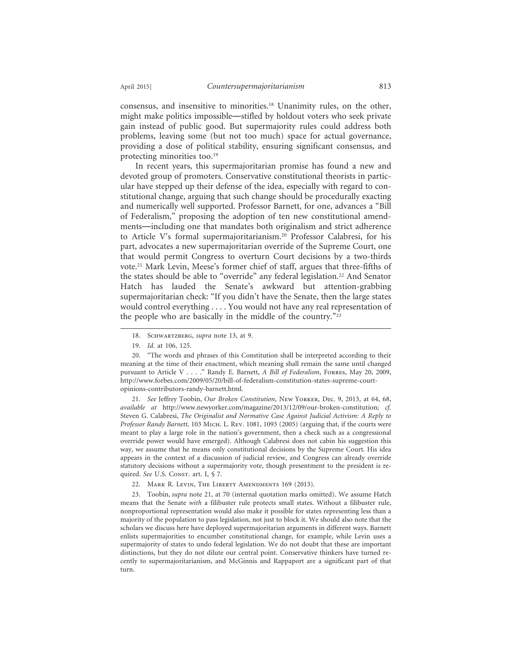consensus, and insensitive to minorities.18 Unanimity rules, on the other, might make politics impossible—stifled by holdout voters who seek private gain instead of public good. But supermajority rules could address both problems, leaving some (but not too much) space for actual governance, providing a dose of political stability, ensuring significant consensus, and protecting minorities too.<sup>19</sup>

In recent years, this supermajoritarian promise has found a new and devoted group of promoters. Conservative constitutional theorists in particular have stepped up their defense of the idea, especially with regard to constitutional change, arguing that such change should be procedurally exacting and numerically well supported. Professor Barnett, for one, advances a "Bill of Federalism," proposing the adoption of ten new constitutional amendments—including one that mandates both originalism and strict adherence to Article V's formal supermajoritarianism.20 Professor Calabresi, for his part, advocates a new supermajoritarian override of the Supreme Court, one that would permit Congress to overturn Court decisions by a two-thirds vote.21 Mark Levin, Meese's former chief of staff, argues that three-fifths of the states should be able to "override" any federal legislation.<sup>22</sup> And Senator Hatch has lauded the Senate's awkward but attention-grabbing supermajoritarian check: "If you didn't have the Senate, then the large states would control everything . . . . You would not have any real representation of the people who are basically in the middle of the country."23

21. *See* Jeffrey Toobin, *Our Broken Constitution*, New Yorker, Dec. 9, 2013, at 64, 68, *available at* http://www.newyorker.com/magazine/2013/12/09/our-broken-constitution; *cf.* Steven G. Calabresi, *The Originalist and Normative Case Against Judicial Activism: A Reply to Professor Randy Barnett*, 103 Mich. L. Rev. 1081, 1093 (2005) (arguing that, if the courts were meant to play a large role in the nation's government, then a check such as a congressional override power would have emerged). Although Calabresi does not cabin his suggestion this way, we assume that he means only constitutional decisions by the Supreme Court. His idea appears in the context of a discussion of judicial review, and Congress can already override statutory decisions without a supermajority vote, though presentment to the president is required. See U.S. Const. art. I, § 7.

22. Mark R. Levin, The Liberty Amendments 169 (2013).

23. Toobin, *supra* note 21, at 70 (internal quotation marks omitted). We assume Hatch means that the Senate *with* a filibuster rule protects small states. Without a filibuster rule, nonproportional representation would also make it possible for states representing less than a majority of the population to pass legislation, not just to block it. We should also note that the scholars we discuss here have deployed supermajoritarian arguments in different ways. Barnett enlists supermajorities to encumber constitutional change, for example, while Levin uses a supermajority of states to undo federal legislation. We do not doubt that these are important distinctions, but they do not dilute our central point. Conservative thinkers have turned recently to supermajoritarianism, and McGinnis and Rappaport are a significant part of that turn.

<sup>18.</sup> Schwartzberg, *supra* note 13, at 9.

<sup>19.</sup> *Id.* at 106, 125.

<sup>20. &</sup>quot;The words and phrases of this Constitution shall be interpreted according to their meaning at the time of their enactment, which meaning shall remain the same until changed pursuant to Article V . . . . " Randy E. Barnett, *A Bill of Federalism*, Fore Bs, May 20, 2009, http://www.forbes.com/2009/05/20/bill-of-federalism-constitution-states-supreme-courtopinions-contributors-randy-barnett.html.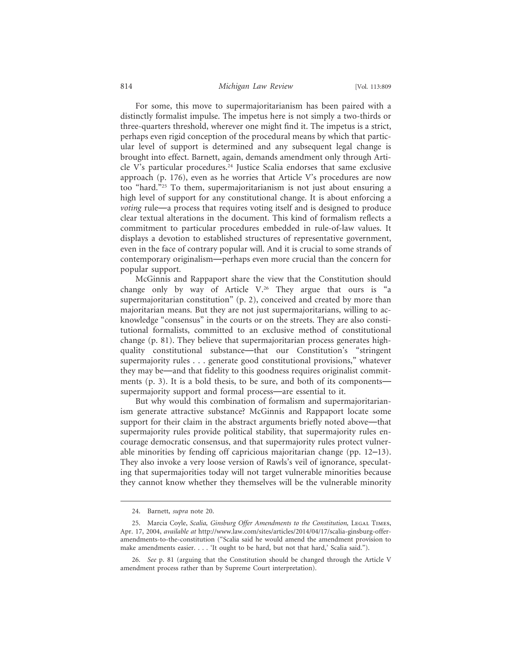### 814 *Michigan Law Review* [Vol. 113:809

For some, this move to supermajoritarianism has been paired with a distinctly formalist impulse. The impetus here is not simply a two-thirds or three-quarters threshold, wherever one might find it. The impetus is a strict, perhaps even rigid conception of the procedural means by which that particular level of support is determined and any subsequent legal change is brought into effect. Barnett, again, demands amendment only through Article V's particular procedures.24 Justice Scalia endorses that same exclusive approach (p. 176), even as he worries that Article V's procedures are now too "hard."25 To them, supermajoritarianism is not just about ensuring a high level of support for any constitutional change. It is about enforcing a *voting* rule—a process that requires voting itself and is designed to produce clear textual alterations in the document. This kind of formalism reflects a commitment to particular procedures embedded in rule-of-law values. It displays a devotion to established structures of representative government, even in the face of contrary popular will. And it is crucial to some strands of contemporary originalism—perhaps even more crucial than the concern for popular support.

McGinnis and Rappaport share the view that the Constitution should change only by way of Article V.26 They argue that ours is "a supermajoritarian constitution" (p. 2), conceived and created by more than majoritarian means. But they are not just supermajoritarians, willing to acknowledge "consensus" in the courts or on the streets. They are also constitutional formalists, committed to an exclusive method of constitutional change (p. 81). They believe that supermajoritarian process generates highquality constitutional substance—that our Constitution's "stringent supermajority rules . . . generate good constitutional provisions," whatever they may be—and that fidelity to this goodness requires originalist commitments (p. 3). It is a bold thesis, to be sure, and both of its components supermajority support and formal process—are essential to it.

But why would this combination of formalism and supermajoritarianism generate attractive substance? McGinnis and Rappaport locate some support for their claim in the abstract arguments briefly noted above—that supermajority rules provide political stability, that supermajority rules encourage democratic consensus, and that supermajority rules protect vulnerable minorities by fending off capricious majoritarian change (pp. 12–13). They also invoke a very loose version of Rawls's veil of ignorance, speculating that supermajorities today will not target vulnerable minorities because they cannot know whether they themselves will be the vulnerable minority

<sup>24.</sup> Barnett, *supra* note 20.

<sup>25.</sup> Marcia Coyle, *Scalia, Ginsburg Offer Amendments to the Constitution,* Legal Times, Apr. 17, 2004, *available at* http://www.law.com/sites/articles/2014/04/17/scalia-ginsburg-offeramendments-to-the-constitution ("Scalia said he would amend the amendment provision to make amendments easier. . . . 'It ought to be hard, but not that hard,' Scalia said.").

<sup>26.</sup> *See* p. 81 (arguing that the Constitution should be changed through the Article V amendment process rather than by Supreme Court interpretation).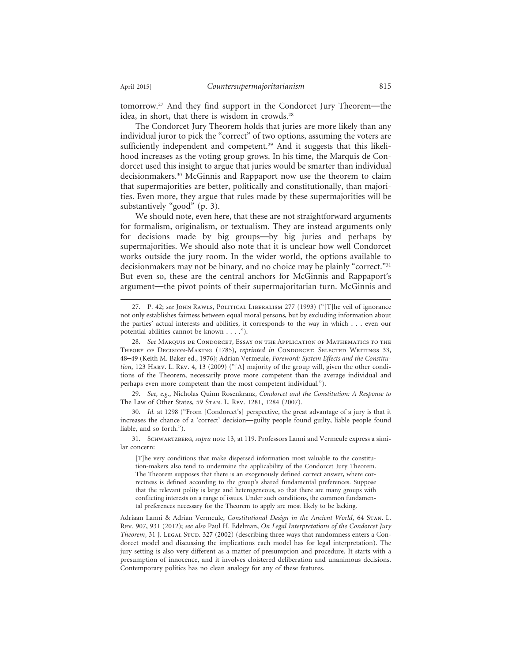tomorrow.27 And they find support in the Condorcet Jury Theorem—the idea, in short, that there is wisdom in crowds.<sup>28</sup>

The Condorcet Jury Theorem holds that juries are more likely than any individual juror to pick the "correct" of two options, assuming the voters are sufficiently independent and competent.<sup>29</sup> And it suggests that this likelihood increases as the voting group grows. In his time, the Marquis de Condorcet used this insight to argue that juries would be smarter than individual decisionmakers.30 McGinnis and Rappaport now use the theorem to claim that supermajorities are better, politically and constitutionally, than majorities. Even more, they argue that rules made by these supermajorities will be substantively "good" (p. 3).

We should note, even here, that these are not straightforward arguments for formalism, originalism, or textualism. They are instead arguments only for decisions made by big groups—by big juries and perhaps by supermajorities. We should also note that it is unclear how well Condorcet works outside the jury room. In the wider world, the options available to decisionmakers may not be binary, and no choice may be plainly "correct."31 But even so, these are the central anchors for McGinnis and Rappaport's argument—the pivot points of their supermajoritarian turn. McGinnis and

29. *See, e.g.*, Nicholas Quinn Rosenkranz, *Condorcet and the Constitution: A Response to* The Law of Other States, 59 Stan. L. Rev. 1281, 1284 (2007).

30. *Id.* at 1298 ("From [Condorcet's] perspective, the great advantage of a jury is that it increases the chance of a 'correct' decision—guilty people found guilty, liable people found liable, and so forth.").

31. Schwartzberg, *supra* note 13, at 119. Professors Lanni and Vermeule express a similar concern:

[T]he very conditions that make dispersed information most valuable to the constitution-makers also tend to undermine the applicability of the Condorcet Jury Theorem. The Theorem supposes that there is an exogenously defined correct answer, where correctness is defined according to the group's shared fundamental preferences. Suppose that the relevant polity is large and heterogeneous, so that there are many groups with conflicting interests on a range of issues. Under such conditions, the common fundamental preferences necessary for the Theorem to apply are most likely to be lacking.

Adriaan Lanni & Adrian Vermeule, *Constitutional Design in the Ancient World*, 64 Stan. L. Rev. 907, 931 (2012); *see also* Paul H. Edelman, *On Legal Interpretations of the Condorcet Jury Theorem*, 31 J. Legal Stud. 327 (2002) (describing three ways that randomness enters a Condorcet model and discussing the implications each model has for legal interpretation). The jury setting is also very different as a matter of presumption and procedure. It starts with a presumption of innocence, and it involves cloistered deliberation and unanimous decisions. Contemporary politics has no clean analogy for any of these features.

<sup>27.</sup> P. 42; *see* John Rawls, Political Liberalism 277 (1993) ("[T]he veil of ignorance not only establishes fairness between equal moral persons, but by excluding information about the parties' actual interests and abilities, it corresponds to the way in which . . . even our potential abilities cannot be known . . . .").

<sup>28.</sup> *See* Marquis de Condorcet, Essay on the Application of Mathematics to the THEORY OF DECISION-MAKING (1785), *reprinted in* CONDORCET: SELECTED WRITINGS 33, 48–49 (Keith M. Baker ed., 1976); Adrian Vermeule, *Foreword: System Effects and the Constitution*, 123 Harv. L. Rev. 4, 13 (2009) ("[A] majority of the group will, given the other conditions of the Theorem, necessarily prove more competent than the average individual and perhaps even more competent than the most competent individual.").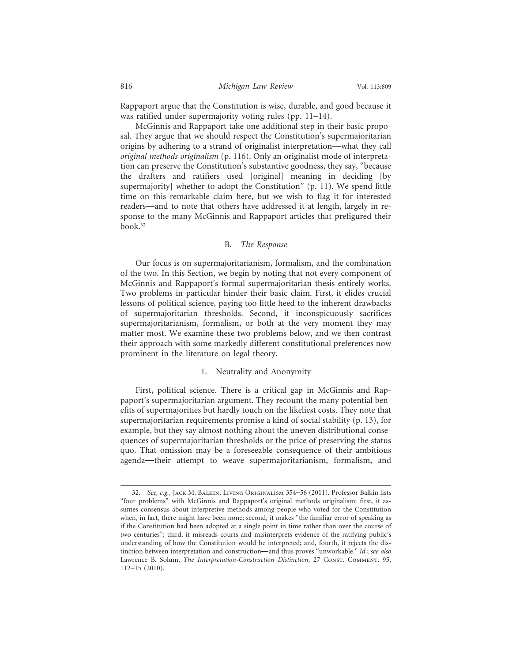Rappaport argue that the Constitution is wise, durable, and good because it was ratified under supermajority voting rules (pp. 11–14).

McGinnis and Rappaport take one additional step in their basic proposal. They argue that we should respect the Constitution's supermajoritarian origins by adhering to a strand of originalist interpretation—what they call *original methods originalism* (p. 116). Only an originalist mode of interpretation can preserve the Constitution's substantive goodness, they say, "because the drafters and ratifiers used [original] meaning in deciding [by supermajority] whether to adopt the Constitution" (p. 11). We spend little time on this remarkable claim here, but we wish to flag it for interested readers—and to note that others have addressed it at length, largely in response to the many McGinnis and Rappaport articles that prefigured their book.32

#### B. *The Response*

Our focus is on supermajoritarianism, formalism, and the combination of the two. In this Section, we begin by noting that not every component of McGinnis and Rappaport's formal-supermajoritarian thesis entirely works. Two problems in particular hinder their basic claim. First, it elides crucial lessons of political science, paying too little heed to the inherent drawbacks of supermajoritarian thresholds. Second, it inconspicuously sacrifices supermajoritarianism, formalism, or both at the very moment they may matter most. We examine these two problems below, and we then contrast their approach with some markedly different constitutional preferences now prominent in the literature on legal theory.

### 1. Neutrality and Anonymity

First, political science. There is a critical gap in McGinnis and Rappaport's supermajoritarian argument. They recount the many potential benefits of supermajorities but hardly touch on the likeliest costs. They note that supermajoritarian requirements promise a kind of social stability (p. 13), for example, but they say almost nothing about the uneven distributional consequences of supermajoritarian thresholds or the price of preserving the status quo. That omission may be a foreseeable consequence of their ambitious agenda—their attempt to weave supermajoritarianism, formalism, and

<sup>32.</sup> *See, e.g.*, Jack M. Balkin, Living Originalism 354–56 (2011). Professor Balkin lists "four problems" with McGinnis and Rappaport's original methods originalism: first, it assumes consensus about interpretive methods among people who voted for the Constitution when, in fact, there might have been none; second, it makes "the familiar error of speaking as if the Constitution had been adopted at a single point in time rather than over the course of two centuries"; third, it misreads courts and misinterprets evidence of the ratifying public's understanding of how the Constitution would be interpreted; and, fourth, it rejects the distinction between interpretation and construction—and thus proves "unworkable." *Id.*; *see also* Lawrence B. Solum, *The Interpretation-Construction Distinction*, 27 CONST. COMMENT. 95, 112–15 (2010).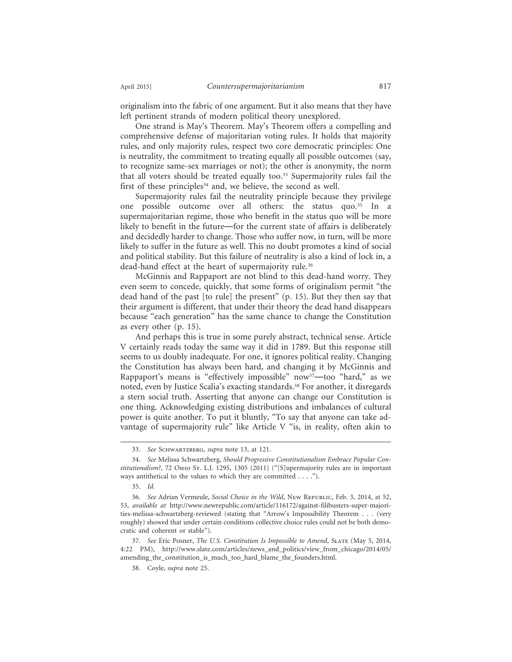originalism into the fabric of one argument. But it also means that they have left pertinent strands of modern political theory unexplored.

One strand is May's Theorem. May's Theorem offers a compelling and comprehensive defense of majoritarian voting rules. It holds that majority rules, and only majority rules, respect two core democratic principles: One is neutrality, the commitment to treating equally all possible outcomes (say, to recognize same-sex marriages or not); the other is anonymity, the norm that all voters should be treated equally too.<sup>33</sup> Supermajority rules fail the first of these principles<sup>34</sup> and, we believe, the second as well.

Supermajority rules fail the neutrality principle because they privilege one possible outcome over all others: the status quo.35 In a supermajoritarian regime, those who benefit in the status quo will be more likely to benefit in the future—for the current state of affairs is deliberately and decidedly harder to change. Those who suffer now, in turn, will be more likely to suffer in the future as well. This no doubt promotes a kind of social and political stability. But this failure of neutrality is also a kind of lock in, a dead-hand effect at the heart of supermajority rule.36

McGinnis and Rappaport are not blind to this dead-hand worry. They even seem to concede, quickly, that some forms of originalism permit "the dead hand of the past [to rule] the present" (p. 15). But they then say that their argument is different, that under their theory the dead hand disappears because "each generation" has the same chance to change the Constitution as every other (p. 15).

And perhaps this is true in some purely abstract, technical sense. Article V certainly reads today the same way it did in 1789. But this response still seems to us doubly inadequate. For one, it ignores political reality. Changing the Constitution has always been hard, and changing it by McGinnis and Rappaport's means is "effectively impossible" now<sup>37</sup>—too "hard," as we noted, even by Justice Scalia's exacting standards.<sup>38</sup> For another, it disregards a stern social truth. Asserting that anyone can change our Constitution is one thing. Acknowledging existing distributions and imbalances of cultural power is quite another. To put it bluntly, "To say that anyone can take advantage of supermajority rule" like Article V "is, in reality, often akin to

37. *See* Eric Posner, *The U.S. Constitution Is Impossible to Amend*, Slate (May 5, 2014, 4:22 PM), http://www.slate.com/articles/news\_and\_politics/view\_from\_chicago/2014/05/ amending\_the\_constitution\_is\_much\_too\_hard\_blame\_the\_founders.html.

<sup>33.</sup> *See* Schwartzberg, *supra* note 13, at 121.

<sup>34.</sup> *See* Melissa Schwartzberg, *Should Progressive Constitutionalism Embrace Popular Constitutionalism?*, 72 Ohio St. L.J. 1295, 1305 (2011) ("[S]upermajority rules are in important ways antithetical to the values to which they are committed . . . .").

<sup>35.</sup> *Id.*

<sup>36.</sup> *See* Adrian Vermeule, *Social Choice in the Wild*, New Republic, Feb. 3, 2014, at 52, 53, *available at* http://www.newrepublic.com/article/116172/against-filibusters-super-majorities-melissa-schwartzberg-reviewed (stating that "Arrow's Impossibility Theorem . . . (very roughly) showed that under certain conditions collective choice rules could not be both democratic and coherent or stable").

<sup>38.</sup> Coyle, *supra* note 25.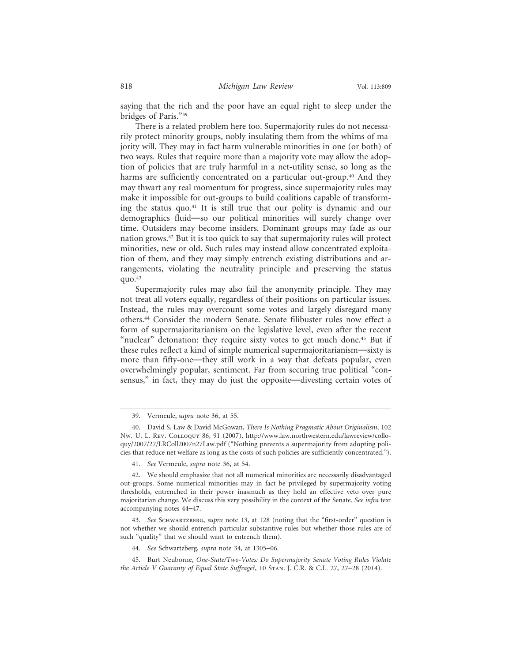saying that the rich and the poor have an equal right to sleep under the bridges of Paris."39

There is a related problem here too. Supermajority rules do not necessarily protect minority groups, nobly insulating them from the whims of majority will. They may in fact harm vulnerable minorities in one (or both) of two ways. Rules that require more than a majority vote may allow the adoption of policies that are truly harmful in a net-utility sense, so long as the harms are sufficiently concentrated on a particular out-group.<sup>40</sup> And they may thwart any real momentum for progress, since supermajority rules may make it impossible for out-groups to build coalitions capable of transforming the status quo.41 It is still true that our polity is dynamic and our demographics fluid—so our political minorities will surely change over time. Outsiders may become insiders. Dominant groups may fade as our nation grows.42 But it is too quick to say that supermajority rules will protect minorities, new or old. Such rules may instead allow concentrated exploitation of them, and they may simply entrench existing distributions and arrangements, violating the neutrality principle and preserving the status quo. $43$ 

Supermajority rules may also fail the anonymity principle. They may not treat all voters equally, regardless of their positions on particular issues. Instead, the rules may overcount some votes and largely disregard many others.44 Consider the modern Senate. Senate filibuster rules now effect a form of supermajoritarianism on the legislative level, even after the recent "nuclear" detonation: they require sixty votes to get much done.<sup>45</sup> But if these rules reflect a kind of simple numerical supermajoritarianism—sixty is more than fifty-one—they still work in a way that defeats popular, even overwhelmingly popular, sentiment. Far from securing true political "consensus," in fact, they may do just the opposite—divesting certain votes of

43. *See* Schwartzberg, *supra* note 13, at 128 (noting that the "first-order" question is not whether we should entrench particular substantive rules but whether those rules are of such "quality" that we should want to entrench them).

<sup>39.</sup> Vermeule, *supra* note 36, at 55.

<sup>40.</sup> David S. Law & David McGowan, *There Is Nothing Pragmatic About Originalism*, 102 Nw. U. L. Rev. Colloquy 86, 91 (2007), http://www.law.northwestern.edu/lawreview/colloquy/2007/27/LRColl2007n27Law.pdf ("Nothing prevents a supermajority from adopting policies that reduce net welfare as long as the costs of such policies are sufficiently concentrated.").

<sup>41.</sup> *See* Vermeule, *supra* note 36, at 54.

<sup>42.</sup> We should emphasize that not all numerical minorities are necessarily disadvantaged out-groups. Some numerical minorities may in fact be privileged by supermajority voting thresholds, entrenched in their power inasmuch as they hold an effective veto over pure majoritarian change. We discuss this very possibility in the context of the Senate. *See infra* text accompanying notes 44–47.

<sup>44.</sup> *See* Schwartzberg, *supra* note 34, at 1305–06.

<sup>45.</sup> Burt Neuborne, *One-State/Two-Votes: Do Supermajority Senate Voting Rules Violate the Article V Guaranty of Equal State Suffrage?*, 10 Stan. J. C.R. & C.L. 27, 27–28 (2014).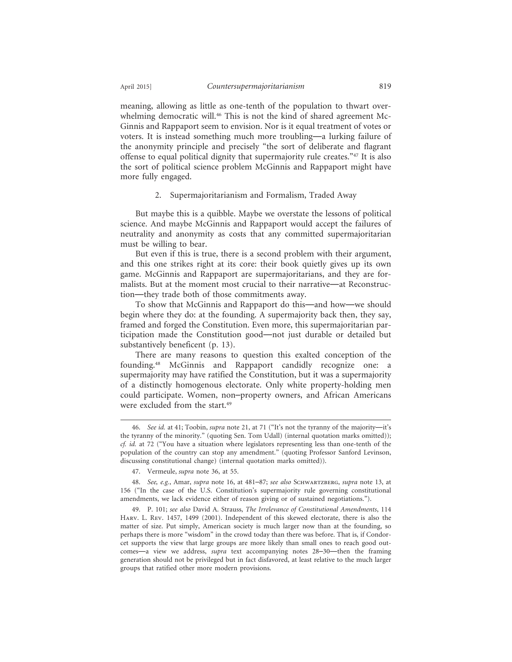meaning, allowing as little as one-tenth of the population to thwart overwhelming democratic will.<sup>46</sup> This is not the kind of shared agreement Mc-Ginnis and Rappaport seem to envision. Nor is it equal treatment of votes or voters. It is instead something much more troubling—a lurking failure of the anonymity principle and precisely "the sort of deliberate and flagrant offense to equal political dignity that supermajority rule creates."47 It is also the sort of political science problem McGinnis and Rappaport might have more fully engaged.

#### 2. Supermajoritarianism and Formalism, Traded Away

But maybe this is a quibble. Maybe we overstate the lessons of political science. And maybe McGinnis and Rappaport would accept the failures of neutrality and anonymity as costs that any committed supermajoritarian must be willing to bear.

But even if this is true, there is a second problem with their argument, and this one strikes right at its core: their book quietly gives up its own game. McGinnis and Rappaport are supermajoritarians, and they are formalists. But at the moment most crucial to their narrative—at Reconstruction—they trade both of those commitments away.

To show that McGinnis and Rappaport do this—and how—we should begin where they do: at the founding. A supermajority back then, they say, framed and forged the Constitution. Even more, this supermajoritarian participation made the Constitution good—not just durable or detailed but substantively beneficent (p. 13).

There are many reasons to question this exalted conception of the founding.48 McGinnis and Rappaport candidly recognize one: a supermajority may have ratified the Constitution, but it was a supermajority of a distinctly homogenous electorate. Only white property-holding men could participate. Women, non–property owners, and African Americans were excluded from the start.<sup>49</sup>

<sup>46.</sup> *See id.* at 41; Toobin, *supra* note 21, at 71 ("It's not the tyranny of the majority—it's the tyranny of the minority." (quoting Sen. Tom Udall) (internal quotation marks omitted)); *cf. id.* at 72 ("You have a situation where legislators representing less than one-tenth of the population of the country can stop any amendment." (quoting Professor Sanford Levinson, discussing constitutional change) (internal quotation marks omitted)).

<sup>47.</sup> Vermeule, *supra* note 36, at 55.

<sup>48.</sup> *See, e.g.*, Amar, *supra* note 16, at 481–87; *see also* Schwartzberg, *supra* note 13, at 156 ("In the case of the U.S. Constitution's supermajority rule governing constitutional amendments, we lack evidence either of reason giving or of sustained negotiations.").

<sup>49.</sup> P. 101; *see also* David A. Strauss, *The Irrelevance of Constitutional Amendments*, 114 Harv. L. Rev. 1457, 1499 (2001). Independent of this skewed electorate, there is also the matter of size. Put simply, American society is much larger now than at the founding, so perhaps there is more "wisdom" in the crowd today than there was before. That is, if Condorcet supports the view that large groups are more likely than small ones to reach good outcomes—a view we address, *supra* text accompanying notes 28–30—then the framing generation should not be privileged but in fact disfavored, at least relative to the much larger groups that ratified other more modern provisions.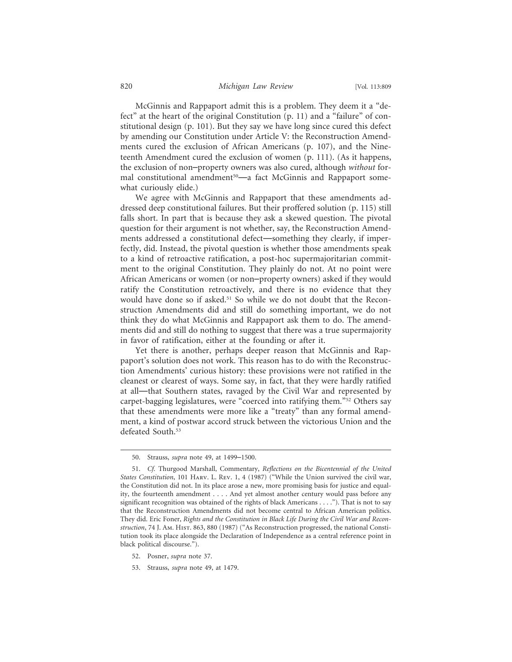McGinnis and Rappaport admit this is a problem. They deem it a "defect" at the heart of the original Constitution (p. 11) and a "failure" of constitutional design (p. 101). But they say we have long since cured this defect by amending our Constitution under Article V: the Reconstruction Amendments cured the exclusion of African Americans (p. 107), and the Nineteenth Amendment cured the exclusion of women (p. 111). (As it happens, the exclusion of non–property owners was also cured, although *without* formal constitutional amendment<sup>50</sup>—a fact McGinnis and Rappaport somewhat curiously elide.)

We agree with McGinnis and Rappaport that these amendments addressed deep constitutional failures. But their proffered solution (p. 115) still falls short. In part that is because they ask a skewed question. The pivotal question for their argument is not whether, say, the Reconstruction Amendments addressed a constitutional defect—something they clearly, if imperfectly, did. Instead, the pivotal question is whether those amendments speak to a kind of retroactive ratification, a post-hoc supermajoritarian commitment to the original Constitution. They plainly do not. At no point were African Americans or women (or non–property owners) asked if they would ratify the Constitution retroactively, and there is no evidence that they would have done so if asked.51 So while we do not doubt that the Reconstruction Amendments did and still do something important, we do not think they do what McGinnis and Rappaport ask them to do. The amendments did and still do nothing to suggest that there was a true supermajority in favor of ratification, either at the founding or after it.

Yet there is another, perhaps deeper reason that McGinnis and Rappaport's solution does not work. This reason has to do with the Reconstruction Amendments' curious history: these provisions were not ratified in the cleanest or clearest of ways. Some say, in fact, that they were hardly ratified at all—that Southern states, ravaged by the Civil War and represented by carpet-bagging legislatures, were "coerced into ratifying them."52 Others say that these amendments were more like a "treaty" than any formal amendment, a kind of postwar accord struck between the victorious Union and the defeated South.<sup>53</sup>

<sup>50.</sup> Strauss, *supra* note 49, at 1499–1500.

<sup>51.</sup> *Cf.* Thurgood Marshall, Commentary, *Reflections on the Bicentennial of the United States Constitution*, 101 Harv. L. Rev. 1, 4 (1987) ("While the Union survived the civil war, the Constitution did not. In its place arose a new, more promising basis for justice and equality, the fourteenth amendment . . . . And yet almost another century would pass before any significant recognition was obtained of the rights of black Americans . . . ."). That is not to say that the Reconstruction Amendments did not become central to African American politics. They did. Eric Foner, *Rights and the Constitution in Black Life During the Civil War and Reconstruction*, 74 J. Am. Hist. 863, 880 (1987) ("As Reconstruction progressed, the national Constitution took its place alongside the Declaration of Independence as a central reference point in black political discourse.").

<sup>52.</sup> Posner, *supra* note 37.

<sup>53.</sup> Strauss, *supra* note 49, at 1479.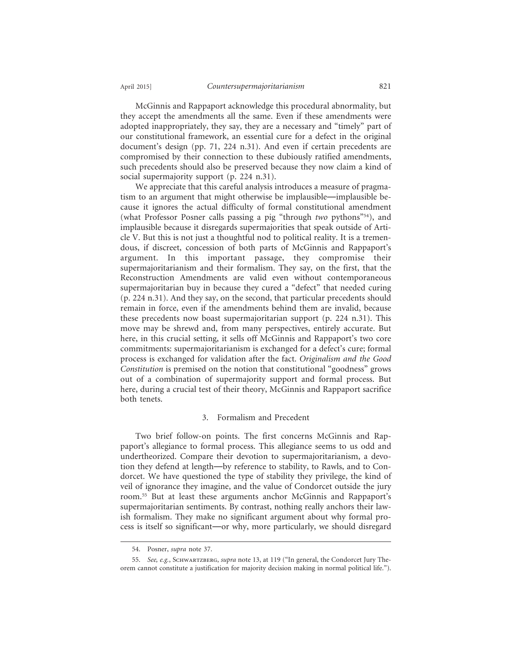McGinnis and Rappaport acknowledge this procedural abnormality, but they accept the amendments all the same. Even if these amendments were adopted inappropriately, they say, they are a necessary and "timely" part of our constitutional framework, an essential cure for a defect in the original document's design (pp. 71, 224 n.31). And even if certain precedents are compromised by their connection to these dubiously ratified amendments, such precedents should also be preserved because they now claim a kind of social supermajority support (p. 224 n.31).

We appreciate that this careful analysis introduces a measure of pragmatism to an argument that might otherwise be implausible—implausible because it ignores the actual difficulty of formal constitutional amendment (what Professor Posner calls passing a pig "through *two* pythons"54), and implausible because it disregards supermajorities that speak outside of Article V. But this is not just a thoughtful nod to political reality. It is a tremendous, if discreet, concession of both parts of McGinnis and Rappaport's argument. In this important passage, they compromise their supermajoritarianism and their formalism. They say, on the first, that the Reconstruction Amendments are valid even without contemporaneous supermajoritarian buy in because they cured a "defect" that needed curing (p. 224 n.31). And they say, on the second, that particular precedents should remain in force, even if the amendments behind them are invalid, because these precedents now boast supermajoritarian support (p. 224 n.31). This move may be shrewd and, from many perspectives, entirely accurate. But here, in this crucial setting, it sells off McGinnis and Rappaport's two core commitments: supermajoritarianism is exchanged for a defect's cure; formal process is exchanged for validation after the fact. *Originalism and the Good Constitution* is premised on the notion that constitutional "goodness" grows out of a combination of supermajority support and formal process. But here, during a crucial test of their theory, McGinnis and Rappaport sacrifice both tenets.

## 3. Formalism and Precedent

Two brief follow-on points. The first concerns McGinnis and Rappaport's allegiance to formal process. This allegiance seems to us odd and undertheorized. Compare their devotion to supermajoritarianism, a devotion they defend at length—by reference to stability, to Rawls, and to Condorcet. We have questioned the type of stability they privilege, the kind of veil of ignorance they imagine, and the value of Condorcet outside the jury room.55 But at least these arguments anchor McGinnis and Rappaport's supermajoritarian sentiments. By contrast, nothing really anchors their lawish formalism. They make no significant argument about why formal process is itself so significant—or why, more particularly, we should disregard

<sup>54.</sup> Posner, *supra* note 37.

<sup>55.</sup> *See, e.g.*, Schwartzberg, *supra* note 13, at 119 ("In general, the Condorcet Jury Theorem cannot constitute a justification for majority decision making in normal political life.").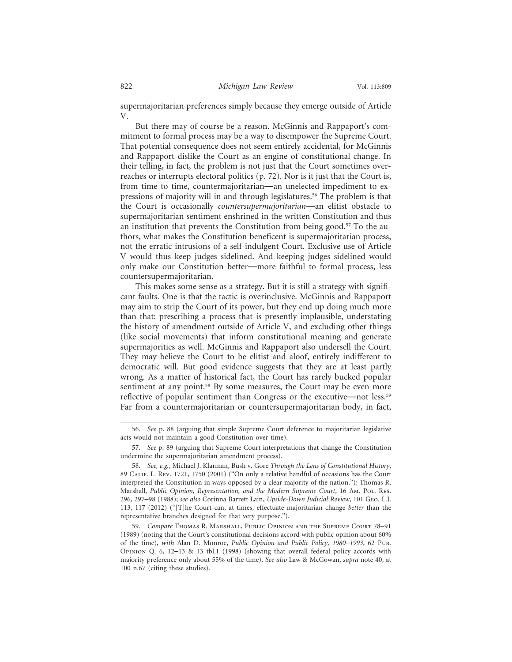supermajoritarian preferences simply because they emerge outside of Article V.

But there may of course be a reason. McGinnis and Rappaport's commitment to formal process may be a way to disempower the Supreme Court. That potential consequence does not seem entirely accidental, for McGinnis and Rappaport dislike the Court as an engine of constitutional change. In their telling, in fact, the problem is not just that the Court sometimes overreaches or interrupts electoral politics (p. 72). Nor is it just that the Court is, from time to time, countermajoritarian—an unelected impediment to expressions of majority will in and through legislatures.<sup>56</sup> The problem is that the Court is occasionally *countersupermajoritarian*—an elitist obstacle to supermajoritarian sentiment enshrined in the written Constitution and thus an institution that prevents the Constitution from being good.<sup>57</sup> To the authors, what makes the Constitution beneficent is supermajoritarian process, not the erratic intrusions of a self-indulgent Court. Exclusive use of Article V would thus keep judges sidelined. And keeping judges sidelined would only make our Constitution better—more faithful to formal process, less countersupermajoritarian.

This makes some sense as a strategy. But it is still a strategy with significant faults. One is that the tactic is overinclusive. McGinnis and Rappaport may aim to strip the Court of its power, but they end up doing much more than that: prescribing a process that is presently implausible, understating the history of amendment outside of Article V, and excluding other things (like social movements) that inform constitutional meaning and generate supermajorities as well. McGinnis and Rappaport also undersell the Court. They may believe the Court to be elitist and aloof, entirely indifferent to democratic will. But good evidence suggests that they are at least partly wrong. As a matter of historical fact, the Court has rarely bucked popular sentiment at any point.58 By some measures, the Court may be even more reflective of popular sentiment than Congress or the executive—not less.59 Far from a countermajoritarian or countersupermajoritarian body, in fact,

<sup>56.</sup> *See* p. 88 (arguing that simple Supreme Court deference to majoritarian legislative acts would not maintain a good Constitution over time).

<sup>57.</sup> *See* p. 89 (arguing that Supreme Court interpretations that change the Constitution undermine the supermajoritarian amendment process).

<sup>58.</sup> *See, e.g.*, Michael J. Klarman, Bush v. Gore *Through the Lens of Constitutional History*, 89 Calif. L. Rev. 1721, 1750 (2001) ("On only a relative handful of occasions has the Court interpreted the Constitution in ways opposed by a clear majority of the nation."); Thomas R. Marshall, *Public Opinion, Representation, and the Modern Supreme Court*, 16 Am. Pol. Res. 296, 297–98 (1988); *see also* Corinna Barrett Lain, *Upside-Down Judicial Review*, 101 Geo. L.J. 113, 117 (2012) ("[T]he Court can, at times, effectuate majoritarian change *better* than the representative branches designed for that very purpose.").

<sup>59.</sup> *Compare* Thomas R. Marshall, Public Opinion and the Supreme Court 78–91 (1989) (noting that the Court's constitutional decisions accord with public opinion about 60% of the time), *with* Alan D. Monroe, *Public Opinion and Public Policy, 1980*–*1993*, 62 Pub. Opinion Q. 6, 12–13 & 13 tbl.1 (1998) (showing that overall federal policy accords with majority preference only about 55% of the time). *See also* Law & McGowan, *supra* note 40, at 100 n.67 (citing these studies).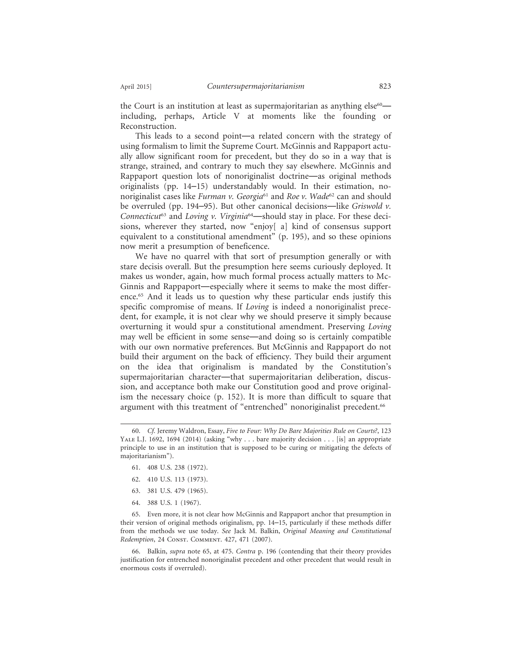the Court is an institution at least as supermajoritarian as anything  $else^{\scriptscriptstyle{60}}$  including, perhaps, Article V at moments like the founding or Reconstruction.

This leads to a second point—a related concern with the strategy of using formalism to limit the Supreme Court. McGinnis and Rappaport actually allow significant room for precedent, but they do so in a way that is strange, strained, and contrary to much they say elsewhere. McGinnis and Rappaport question lots of nonoriginalist doctrine—as original methods originalists (pp. 14–15) understandably would. In their estimation, nonoriginalist cases like *Furman v. Georgia*61 and *Roe v. Wade*62 can and should be overruled (pp. 194–95). But other canonical decisions—like *Griswold v. Connecticut*63 and *Loving v. Virginia*64—should stay in place. For these decisions, wherever they started, now "enjoy[ a] kind of consensus support equivalent to a constitutional amendment" (p. 195), and so these opinions now merit a presumption of beneficence.

We have no quarrel with that sort of presumption generally or with stare decisis overall. But the presumption here seems curiously deployed. It makes us wonder, again, how much formal process actually matters to Mc-Ginnis and Rappaport—especially where it seems to make the most difference.65 And it leads us to question why these particular ends justify this specific compromise of means. If *Loving* is indeed a nonoriginalist precedent, for example, it is not clear why we should preserve it simply because overturning it would spur a constitutional amendment. Preserving *Loving* may well be efficient in some sense—and doing so is certainly compatible with our own normative preferences. But McGinnis and Rappaport do not build their argument on the back of efficiency. They build their argument on the idea that originalism is mandated by the Constitution's supermajoritarian character—that supermajoritarian deliberation, discussion, and acceptance both make our Constitution good and prove originalism the necessary choice (p. 152). It is more than difficult to square that argument with this treatment of "entrenched" nonoriginalist precedent.<sup>66</sup>

- 61. 408 U.S. 238 (1972).
- 62. 410 U.S. 113 (1973).
- 63. 381 U.S. 479 (1965).
- 64. 388 U.S. 1 (1967).

65. Even more, it is not clear how McGinnis and Rappaport anchor that presumption in their version of original methods originalism, pp. 14–15, particularly if these methods differ from the methods we use today. *See* Jack M. Balkin, *Original Meaning and Constitutional Redemption*, 24 CONST. COMMENT. 427, 471 (2007).

66. Balkin, *supra* note 65, at 475. *Contra* p. 196 (contending that their theory provides justification for entrenched nonoriginalist precedent and other precedent that would result in enormous costs if overruled).

<sup>60.</sup> *Cf.* Jeremy Waldron, Essay, *Five to Four: Why Do Bare Majorities Rule on Courts?*, 123 YALE L.J. 1692, 1694 (2014) (asking "why . . . bare majority decision . . . [is] an appropriate principle to use in an institution that is supposed to be curing or mitigating the defects of majoritarianism").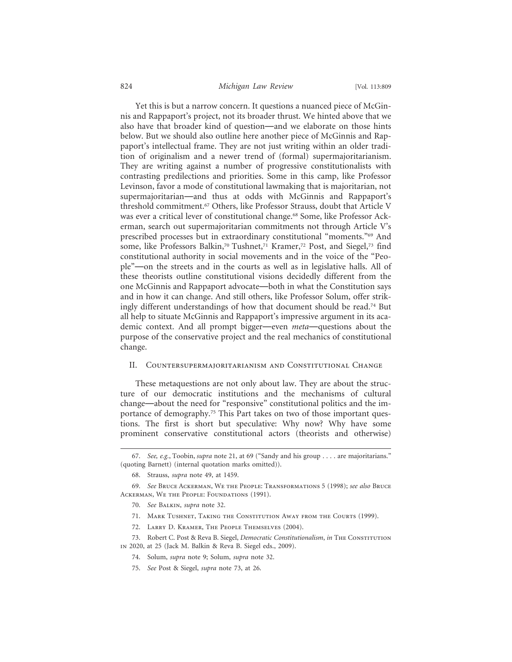### 824 *Michigan Law Review* [Vol. 113:809

Yet this is but a narrow concern. It questions a nuanced piece of McGinnis and Rappaport's project, not its broader thrust. We hinted above that we also have that broader kind of question—and we elaborate on those hints below. But we should also outline here another piece of McGinnis and Rappaport's intellectual frame. They are not just writing within an older tradition of originalism and a newer trend of (formal) supermajoritarianism. They are writing against a number of progressive constitutionalists with contrasting predilections and priorities. Some in this camp, like Professor Levinson, favor a mode of constitutional lawmaking that is majoritarian, not supermajoritarian—and thus at odds with McGinnis and Rappaport's threshold commitment.67 Others, like Professor Strauss, doubt that Article V was ever a critical lever of constitutional change.<sup>68</sup> Some, like Professor Ackerman, search out supermajoritarian commitments not through Article V's prescribed processes but in extraordinary constitutional "moments."69 And some, like Professors Balkin,<sup>70</sup> Tushnet,<sup>71</sup> Kramer,<sup>72</sup> Post, and Siegel,<sup>73</sup> find constitutional authority in social movements and in the voice of the "People"—on the streets and in the courts as well as in legislative halls. All of these theorists outline constitutional visions decidedly different from the one McGinnis and Rappaport advocate—both in what the Constitution says and in how it can change. And still others, like Professor Solum, offer strikingly different understandings of how that document should be read.74 But all help to situate McGinnis and Rappaport's impressive argument in its academic context. And all prompt bigger—even *meta*—questions about the purpose of the conservative project and the real mechanics of constitutional change.

#### II. Countersupermajoritarianism and Constitutional Change

These metaquestions are not only about law. They are about the structure of our democratic institutions and the mechanisms of cultural change—about the need for "responsive" constitutional politics and the importance of demography.<sup>75</sup> This Part takes on two of those important questions. The first is short but speculative: Why now? Why have some prominent conservative constitutional actors (theorists and otherwise)

- 71. Mark Tushnet, Taking the Constitution Away from the Courts (1999).
- 72. Larry D. Kramer, The People Themselves (2004).
- 73. Robert C. Post & Reva B. Siegel, *Democratic Constitutionalism*, *in* The Constitution in 2020, at 25 (Jack M. Balkin & Reva B. Siegel eds., 2009).
	- 74. Solum, *supra* note 9; Solum, *supra* note 32.
	- 75. *See* Post & Siegel, *supra* note 73, at 26.

<sup>67.</sup> *See, e.g.*, Toobin, *supra* note 21, at 69 ("Sandy and his group . . . . are majoritarians." (quoting Barnett) (internal quotation marks omitted)).

<sup>68.</sup> Strauss, *supra* note 49, at 1459.

<sup>69.</sup> *See* Bruce Ackerman, We the People: Transformations 5 (1998); *see also* Bruce ACKERMAN, WE THE PEOPLE: FOUNDATIONS (1991).

<sup>70.</sup> *See* Balkin, *supra* note 32.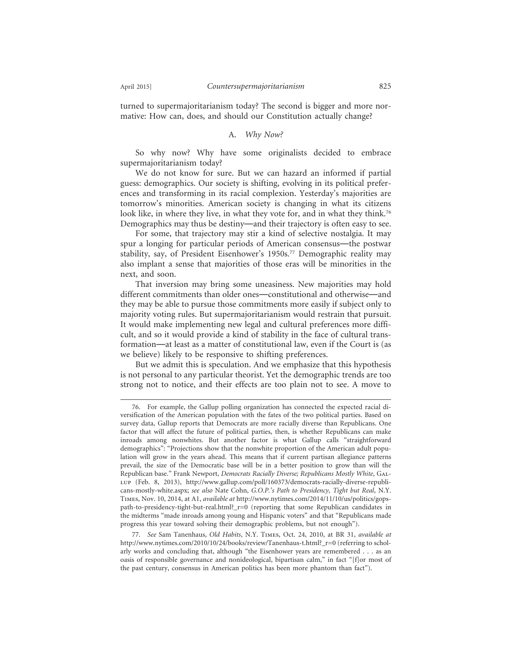turned to supermajoritarianism today? The second is bigger and more normative: How can, does, and should our Constitution actually change?

### A. *Why Now?*

So why now? Why have some originalists decided to embrace supermajoritarianism today?

We do not know for sure. But we can hazard an informed if partial guess: demographics. Our society is shifting, evolving in its political preferences and transforming in its racial complexion. Yesterday's majorities are tomorrow's minorities. American society is changing in what its citizens look like, in where they live, in what they vote for, and in what they think.<sup>76</sup> Demographics may thus be destiny—and their trajectory is often easy to see.

For some, that trajectory may stir a kind of selective nostalgia. It may spur a longing for particular periods of American consensus—the postwar stability, say, of President Eisenhower's 1950s.77 Demographic reality may also implant a sense that majorities of those eras will be minorities in the next, and soon.

That inversion may bring some uneasiness. New majorities may hold different commitments than older ones—constitutional and otherwise—and they may be able to pursue those commitments more easily if subject only to majority voting rules. But supermajoritarianism would restrain that pursuit. It would make implementing new legal and cultural preferences more difficult, and so it would provide a kind of stability in the face of cultural transformation—at least as a matter of constitutional law, even if the Court is (as we believe) likely to be responsive to shifting preferences.

But we admit this is speculation. And we emphasize that this hypothesis is not personal to any particular theorist. Yet the demographic trends are too strong not to notice, and their effects are too plain not to see. A move to

<sup>76.</sup> For example, the Gallup polling organization has connected the expected racial diversification of the American population with the fates of the two political parties. Based on survey data, Gallup reports that Democrats are more racially diverse than Republicans. One factor that will affect the future of political parties, then, is whether Republicans can make inroads among nonwhites. But another factor is what Gallup calls "straightforward demographics": "Projections show that the nonwhite proportion of the American adult population will grow in the years ahead. This means that if current partisan allegiance patterns prevail, the size of the Democratic base will be in a better position to grow than will the Republican base." Frank Newport, *Democrats Racially Diverse; Republicans Mostly White*, Gallup (Feb. 8, 2013), http://www.gallup.com/poll/160373/democrats-racially-diverse-republicans-mostly-white.aspx; *see also* Nate Cohn, *G.O.P.'s Path to Presidency, Tight but Real*, N.Y. Times, Nov. 10, 2014, at A1, *available at* http://www.nytimes.com/2014/11/10/us/politics/gopspath-to-presidency-tight-but-real.html?\_r=0 (reporting that some Republican candidates in the midterms "made inroads among young and Hispanic voters" and that "Republicans made progress this year toward solving their demographic problems, but not enough").

<sup>77.</sup> *See* Sam Tanenhaus, *Old Habits*, N.Y. Times, Oct. 24, 2010, at BR 31, *available at* http://www.nytimes.com/2010/10/24/books/review/Tanenhaus-t.html?\_r=0 (referring to scholarly works and concluding that, although "the Eisenhower years are remembered . . . as an oasis of responsible governance and nonideological, bipartisan calm," in fact "[f]or most of the past century, consensus in American politics has been more phantom than fact").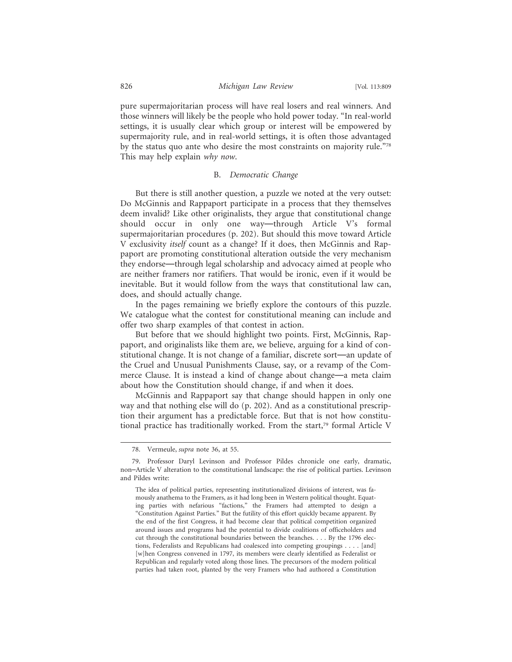pure supermajoritarian process will have real losers and real winners. And those winners will likely be the people who hold power today. "In real-world settings, it is usually clear which group or interest will be empowered by supermajority rule, and in real-world settings, it is often those advantaged by the status quo ante who desire the most constraints on majority rule."78 This may help explain *why now*.

#### B. *Democratic Change*

But there is still another question, a puzzle we noted at the very outset: Do McGinnis and Rappaport participate in a process that they themselves deem invalid? Like other originalists, they argue that constitutional change should occur in only one way—through Article V's formal supermajoritarian procedures (p. 202). But should this move toward Article V exclusivity *itself* count as a change? If it does, then McGinnis and Rappaport are promoting constitutional alteration outside the very mechanism they endorse—through legal scholarship and advocacy aimed at people who are neither framers nor ratifiers. That would be ironic, even if it would be inevitable. But it would follow from the ways that constitutional law can, does, and should actually change.

In the pages remaining we briefly explore the contours of this puzzle. We catalogue what the contest for constitutional meaning can include and offer two sharp examples of that contest in action.

But before that we should highlight two points. First, McGinnis, Rappaport, and originalists like them are, we believe, arguing for a kind of constitutional change. It is not change of a familiar, discrete sort—an update of the Cruel and Unusual Punishments Clause, say, or a revamp of the Commerce Clause. It is instead a kind of change about change—a meta claim about how the Constitution should change, if and when it does.

McGinnis and Rappaport say that change should happen in only one way and that nothing else will do (p. 202). And as a constitutional prescription their argument has a predictable force. But that is not how constitutional practice has traditionally worked. From the start,79 formal Article V

<sup>78.</sup> Vermeule, *supra* note 36, at 55.

<sup>79.</sup> Professor Daryl Levinson and Professor Pildes chronicle one early, dramatic, non–Article V alteration to the constitutional landscape: the rise of political parties. Levinson and Pildes write:

The idea of political parties, representing institutionalized divisions of interest, was famously anathema to the Framers, as it had long been in Western political thought. Equating parties with nefarious "factions," the Framers had attempted to design a "Constitution Against Parties." But the futility of this effort quickly became apparent. By the end of the first Congress, it had become clear that political competition organized around issues and programs had the potential to divide coalitions of officeholders and cut through the constitutional boundaries between the branches. . . . By the 1796 elections, Federalists and Republicans had coalesced into competing groupings . . . . [and] [w]hen Congress convened in 1797, its members were clearly identified as Federalist or Republican and regularly voted along those lines. The precursors of the modern political parties had taken root, planted by the very Framers who had authored a Constitution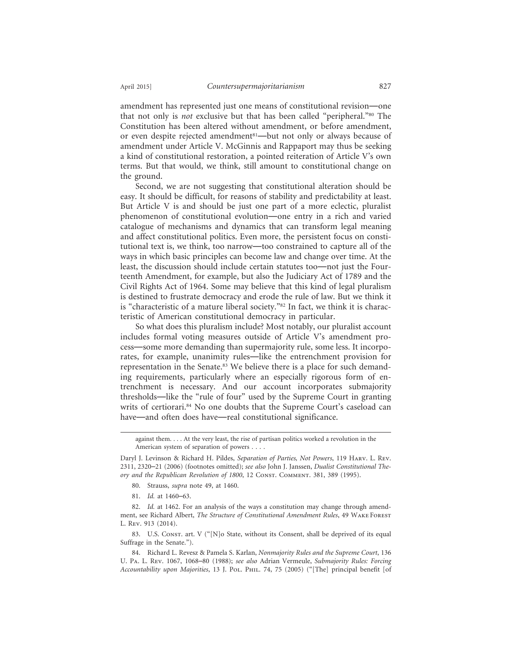amendment has represented just one means of constitutional revision—one that not only is *not* exclusive but that has been called "peripheral."80 The Constitution has been altered without amendment, or before amendment, or even despite rejected amendment<sup>81</sup>—but not only or always because of amendment under Article V. McGinnis and Rappaport may thus be seeking a kind of constitutional restoration, a pointed reiteration of Article V's own terms. But that would, we think, still amount to constitutional change on the ground.

Second, we are not suggesting that constitutional alteration should be easy. It should be difficult, for reasons of stability and predictability at least. But Article V is and should be just one part of a more eclectic, pluralist phenomenon of constitutional evolution—one entry in a rich and varied catalogue of mechanisms and dynamics that can transform legal meaning and affect constitutional politics. Even more, the persistent focus on constitutional text is, we think, too narrow—too constrained to capture all of the ways in which basic principles can become law and change over time. At the least, the discussion should include certain statutes too—not just the Fourteenth Amendment, for example, but also the Judiciary Act of 1789 and the Civil Rights Act of 1964. Some may believe that this kind of legal pluralism is destined to frustrate democracy and erode the rule of law. But we think it is "characteristic of a mature liberal society."82 In fact, we think it is characteristic of American constitutional democracy in particular.

So what does this pluralism include? Most notably, our pluralist account includes formal voting measures outside of Article V's amendment process—some more demanding than supermajority rule, some less. It incorporates, for example, unanimity rules—like the entrenchment provision for representation in the Senate.<sup>83</sup> We believe there is a place for such demanding requirements, particularly where an especially rigorous form of entrenchment is necessary. And our account incorporates submajority thresholds—like the "rule of four" used by the Supreme Court in granting writs of certiorari.<sup>84</sup> No one doubts that the Supreme Court's caseload can have—and often does have—real constitutional significance.

against them. . . . At the very least, the rise of partisan politics worked a revolution in the American system of separation of powers . . . .

Daryl J. Levinson & Richard H. Pildes, *Separation of Parties, Not Powers*, 119 Harv. L. Rev. 2311, 2320–21 (2006) (footnotes omitted); *see also* John J. Janssen, *Dualist Constitutional The*ory and the Republican Revolution of 1800, 12 CONST. COMMENT. 381, 389 (1995).

<sup>80.</sup> Strauss, *supra* note 49, at 1460.

<sup>81.</sup> *Id.* at 1460–63.

<sup>82.</sup> *Id.* at 1462. For an analysis of the ways a constitution may change through amendment, see Richard Albert, *The Structure of Constitutional Amendment Rules*, 49 Wake Forest L. Rev. 913 (2014).

<sup>83.</sup> U.S. Const. art. V ("[N]o State, without its Consent, shall be deprived of its equal Suffrage in the Senate.").

<sup>84.</sup> Richard L. Revesz & Pamela S. Karlan, *Nonmajority Rules and the Supreme Court*, 136 U. Pa. L. Rev. 1067, 1068–80 (1988); *see also* Adrian Vermeule, *Submajority Rules: Forcing Accountability upon Majorities*, 13 J. Pol. Phil. 74, 75 (2005) ("[The] principal benefit [of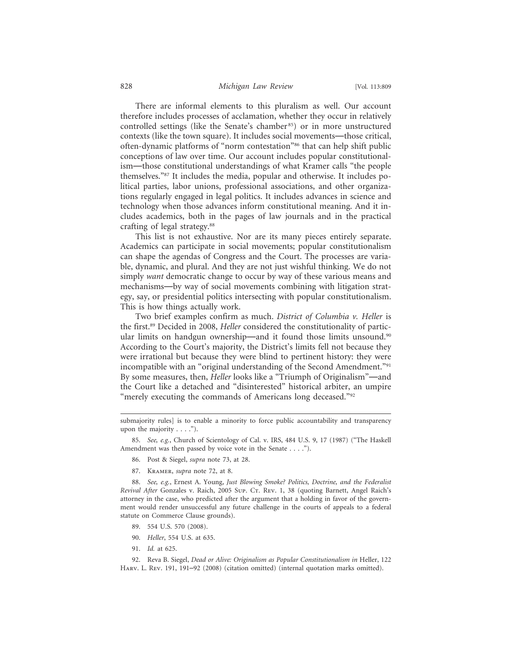#### 828 *Michigan Law Review* [Vol. 113:809

There are informal elements to this pluralism as well. Our account therefore includes processes of acclamation, whether they occur in relatively controlled settings (like the Senate's chamber 85) or in more unstructured contexts (like the town square). It includes social movements—those critical, often-dynamic platforms of "norm contestation"86 that can help shift public conceptions of law over time. Our account includes popular constitutionalism—those constitutional understandings of what Kramer calls "the people themselves."87 It includes the media, popular and otherwise. It includes political parties, labor unions, professional associations, and other organizations regularly engaged in legal politics. It includes advances in science and technology when those advances inform constitutional meaning. And it includes academics, both in the pages of law journals and in the practical crafting of legal strategy.88

This list is not exhaustive. Nor are its many pieces entirely separate. Academics can participate in social movements; popular constitutionalism can shape the agendas of Congress and the Court. The processes are variable, dynamic, and plural. And they are not just wishful thinking. We do not simply *want* democratic change to occur by way of these various means and mechanisms—by way of social movements combining with litigation strategy, say, or presidential politics intersecting with popular constitutionalism. This is how things actually work.

Two brief examples confirm as much. *District of Columbia v. Heller* is the first.89 Decided in 2008, *Heller* considered the constitutionality of particular limits on handgun ownership—and it found those limits unsound.<sup>90</sup> According to the Court's majority, the District's limits fell not because they were irrational but because they were blind to pertinent history: they were incompatible with an "original understanding of the Second Amendment."91 By some measures, then, *Heller* looks like a "Triumph of Originalism"—and the Court like a detached and "disinterested" historical arbiter, an umpire "merely executing the commands of Americans long deceased."92

submajority rules] is to enable a minority to force public accountability and transparency upon the majority . . . .").

85. *See, e.g.*, Church of Scientology of Cal. v. IRS, 484 U.S. 9, 17 (1987) ("The Haskell Amendment was then passed by voice vote in the Senate . . . .").

- 86. Post & Siegel, *supra* note 73, at 28.
- 87. Kramer, *supra* note 72, at 8.

88. *See, e.g.*, Ernest A. Young, *Just Blowing Smoke? Politics, Doctrine, and the Federalist Revival After* Gonzales v. Raich, 2005 Sup. Ct. Rev. 1, 38 (quoting Barnett, Angel Raich's attorney in the case, who predicted after the argument that a holding in favor of the government would render unsuccessful any future challenge in the courts of appeals to a federal statute on Commerce Clause grounds).

- 89. 554 U.S. 570 (2008).
- 90. *Heller*, 554 U.S. at 635.
- 91. *Id.* at 625.

92. Reva B. Siegel, *Dead or Alive: Originalism as Popular Constitutionalism in Heller*, 122 Harv. L. Rev. 191, 191–92 (2008) (citation omitted) (internal quotation marks omitted).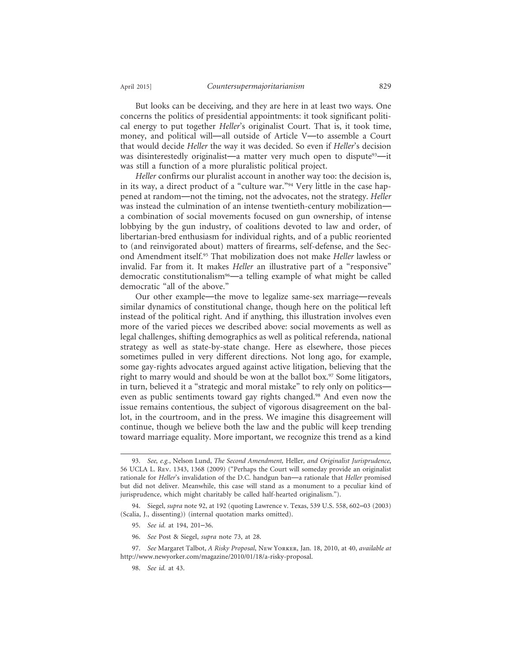But looks can be deceiving, and they are here in at least two ways. One concerns the politics of presidential appointments: it took significant political energy to put together *Heller*'s originalist Court. That is, it took time, money, and political will—all outside of Article V—to assemble a Court that would decide *Heller* the way it was decided. So even if *Heller*'s decision was disinterestedly originalist—a matter very much open to dispute<sup>93</sup>—it was still a function of a more pluralistic political project.

*Heller* confirms our pluralist account in another way too: the decision is, in its way, a direct product of a "culture war."94 Very little in the case happened at random—not the timing, not the advocates, not the strategy. *Heller* was instead the culmination of an intense twentieth-century mobilization a combination of social movements focused on gun ownership, of intense lobbying by the gun industry, of coalitions devoted to law and order, of libertarian-bred enthusiasm for individual rights, and of a public reoriented to (and reinvigorated about) matters of firearms, self-defense, and the Second Amendment itself.95 That mobilization does not make *Heller* lawless or invalid. Far from it. It makes *Heller* an illustrative part of a "responsive" democratic constitutionalism<sup>96</sup>—a telling example of what might be called democratic "all of the above."

Our other example—the move to legalize same-sex marriage—reveals similar dynamics of constitutional change, though here on the political left instead of the political right. And if anything, this illustration involves even more of the varied pieces we described above: social movements as well as legal challenges, shifting demographics as well as political referenda, national strategy as well as state-by-state change. Here as elsewhere, those pieces sometimes pulled in very different directions. Not long ago, for example, some gay-rights advocates argued against active litigation, believing that the right to marry would and should be won at the ballot box.<sup>97</sup> Some litigators, in turn, believed it a "strategic and moral mistake" to rely only on politics even as public sentiments toward gay rights changed.<sup>98</sup> And even now the issue remains contentious, the subject of vigorous disagreement on the ballot, in the courtroom, and in the press. We imagine this disagreement will continue, though we believe both the law and the public will keep trending toward marriage equality. More important, we recognize this trend as a kind

<sup>93.</sup> *See, e.g.*, Nelson Lund, *The Second Amendment,* Heller*, and Originalist Jurisprudence*, 56 UCLA L. Rev. 1343, 1368 (2009) ("Perhaps the Court will someday provide an originalist rationale for *Heller*'s invalidation of the D.C. handgun ban—a rationale that *Heller* promised but did not deliver. Meanwhile, this case will stand as a monument to a peculiar kind of jurisprudence, which might charitably be called half-hearted originalism.").

<sup>94.</sup> Siegel, *supra* note 92, at 192 (quoting Lawrence v. Texas, 539 U.S. 558, 602–03 (2003) (Scalia, J., dissenting)) (internal quotation marks omitted).

<sup>95.</sup> *See id.* at 194, 201–36.

<sup>96.</sup> *See* Post & Siegel, *supra* note 73, at 28.

<sup>97.</sup> *See* Margaret Talbot, *A Risky Proposal*, New Yorker, Jan. 18, 2010, at 40, *available at* http://www.newyorker.com/magazine/2010/01/18/a-risky-proposal.

<sup>98.</sup> *See id.* at 43.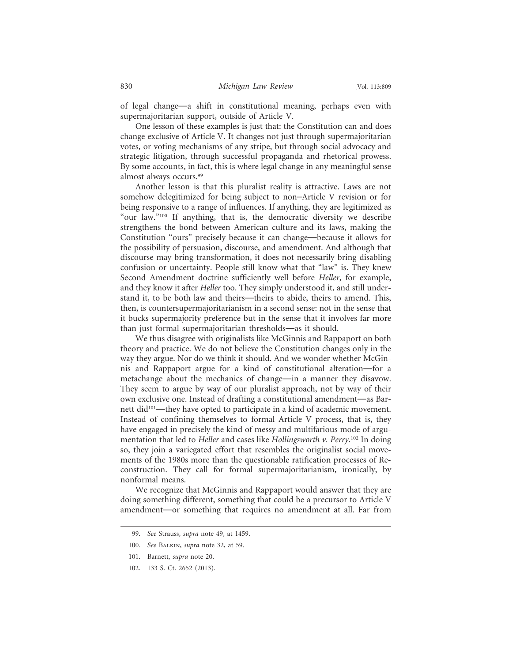of legal change—a shift in constitutional meaning, perhaps even with supermajoritarian support, outside of Article V.

One lesson of these examples is just that: the Constitution can and does change exclusive of Article V. It changes not just through supermajoritarian votes, or voting mechanisms of any stripe, but through social advocacy and strategic litigation, through successful propaganda and rhetorical prowess. By some accounts, in fact, this is where legal change in any meaningful sense almost always occurs.99

Another lesson is that this pluralist reality is attractive. Laws are not somehow delegitimized for being subject to non–Article V revision or for being responsive to a range of influences. If anything, they are legitimized as "our law."100 If anything, that is, the democratic diversity we describe strengthens the bond between American culture and its laws, making the Constitution "ours" precisely because it can change—because it allows for the possibility of persuasion, discourse, and amendment. And although that discourse may bring transformation, it does not necessarily bring disabling confusion or uncertainty. People still know what that "law" is. They knew Second Amendment doctrine sufficiently well before *Heller*, for example, and they know it after *Heller* too. They simply understood it, and still understand it, to be both law and theirs—theirs to abide, theirs to amend. This, then, is countersupermajoritarianism in a second sense: not in the sense that it bucks supermajority preference but in the sense that it involves far more than just formal supermajoritarian thresholds—as it should.

We thus disagree with originalists like McGinnis and Rappaport on both theory and practice. We do not believe the Constitution changes only in the way they argue. Nor do we think it should. And we wonder whether McGinnis and Rappaport argue for a kind of constitutional alteration—for a metachange about the mechanics of change—in a manner they disavow. They seem to argue by way of our pluralist approach, not by way of their own exclusive one. Instead of drafting a constitutional amendment—as Barnett did101—they have opted to participate in a kind of academic movement. Instead of confining themselves to formal Article V process, that is, they have engaged in precisely the kind of messy and multifarious mode of argumentation that led to *Heller* and cases like *Hollingsworth v. Perry*. 102 In doing so, they join a variegated effort that resembles the originalist social movements of the 1980s more than the questionable ratification processes of Reconstruction. They call for formal supermajoritarianism, ironically, by nonformal means.

We recognize that McGinnis and Rappaport would answer that they are doing something different, something that could be a precursor to Article V amendment—or something that requires no amendment at all. Far from

<sup>99.</sup> *See* Strauss, *supra* note 49, at 1459.

<sup>100.</sup> *See* Balkin, *supra* note 32, at 59.

<sup>101.</sup> Barnett, *supra* note 20.

<sup>102. 133</sup> S. Ct. 2652 (2013).